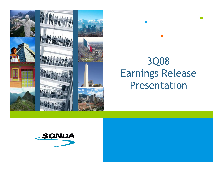

# 3Q08 Earnings Release Presentation

П

 $\mathcal{L}_{\mathcal{A}}$ 

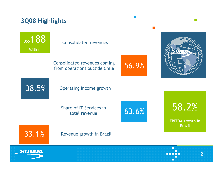| <b>3Q08 Highlights</b><br><b>US\$ 188</b><br><b>Million</b> | <b>Consolidated revenues</b>                                         |       |                           |
|-------------------------------------------------------------|----------------------------------------------------------------------|-------|---------------------------|
|                                                             | <b>Consolidated revenues coming</b><br>from operations outside Chile | 56.9% |                           |
| 38.5%                                                       | Operating Income growth                                              |       |                           |
|                                                             | Share of IT Services in<br>total revenue                             | 63.6% | 58.2%<br>EBITDA growth in |
| 33.1%                                                       | Revenue growth in Brazil                                             |       | <b>Brazil</b>             |
| <u>_SONDA</u>                                               |                                                                      |       |                           |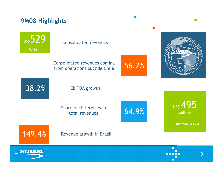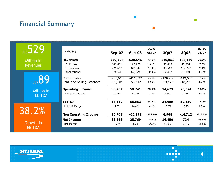## Financial Summary

**US\$529** 

Million in Revenues

**US\$89** 

Million in EBITDA

38.2%

 Growth in EBITDA

| (in ThUS\$)                 | $Sep-07$   | Sep-08     | Var%<br>08/07 | 3Q07       | <b>3Q08</b> | Var%<br>08/07 |
|-----------------------------|------------|------------|---------------|------------|-------------|---------------|
| <b>Revenues</b>             | 359,324    | 528,546    | 47.1%         | 149,051    | 188,149     | 26.2%         |
| Platforms                   | 103,081    | 122,726    | 19.1%         | 36,089     | 45,231      | 25.3%         |
| <b>IT Services</b>          | 226,600    | 343,042    | 51.4%         | 95,510     | 119,727     | 25.4%         |
| Applications                | 29,644     | 62,779     | 111.8%        | 17,452     | 23,191      | 32.9%         |
| Cost of Sales               | $-287,668$ | $-416,392$ | 44.7%         | $-120,906$ | $-149,535$  | 23.7%         |
| Adm. and Selling Expenses   | $-33,404$  | $-53,412$  | 59.9%         | $-13,472$  | $-18,290$   | 35.8%         |
| <b>Operating Income</b>     | 38,252     | 58,741     | 53.6%         | 14,673     | 20,324      | 38.5%         |
| <b>Operating Margin</b>     | 10.6%      | 11.1%      | 4.4%          | 9.8%       | 10.8%       | 9.7%          |
| <b>EBITDA</b>               | 64,189     | 88,682     | 38.2%         | 24,089     | 30,559      | 26.9%         |
| EBITDA Margin               | 17.9%      | 16.8%      | $-6.1%$       | 16.2%      | 16.2%       | 0.5%          |
| <b>Non Operating Income</b> | 10,763     | $-22,179$  | $-306.1%$     | 6,908      | $-14,712$   | $-313.0%$     |
| <b>Net Income</b>           | 38,368     | 25,769     | $-32.8%$      | 16,450     | 734         | $-95.5%$      |
| Net Margin                  | 10.7%      | 4.9%       | $-54.3%$      | 11.0%      | $0.4\%$     | $-96.5%$      |

 $\mathcal{C}^{\mathcal{A}}$ 

 $\mathcal{L}_{\mathcal{A}}$ 



n. **. . . .** 4П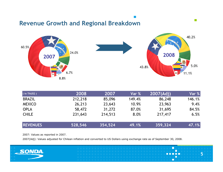#### Revenue Growth and Regional Breakdown



 $\mathcal{L}_{\mathcal{A}}$ 

| (in ThUS\$)     | 2008    | 2007    | Var %  | 2007(Adj) | Var %  |
|-----------------|---------|---------|--------|-----------|--------|
| <b>BRAZIL</b>   | 212,218 | 85,096  | 149.4% | 86,248    | 146.1% |
| <b>MEXICO</b>   | 26,213  | 23,643  | 10.9%  | 23,963    | 9.4%   |
| <b>OPLA</b>     | 58,472  | 31,272  | 87.0%  | 31,695    | 84.5%  |
| <b>CHILE</b>    | 231,643 | 214,513 | 8.0%   | 217,417   | 6.5%   |
| <b>REVENUES</b> | 528,546 | 354,524 | 49.1%  | 359,324   | 47.1%  |

2007: Values as reported in 2007.

2007(Adj): Values adjusted for Chilean inflation and converted to US Dollars using exchange rate as of September 30, 2008.

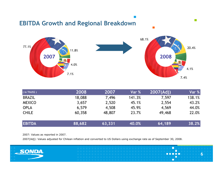

| (in ThUS\$)   | 2008   | 2007   | Var %  | 2007(Adj) | Var %  |
|---------------|--------|--------|--------|-----------|--------|
| <b>BRAZIL</b> | 18,088 | 7,496  | 141.3% | 7,597     | 138.1% |
| <b>MEXICO</b> | 3,657  | 2,520  | 45.1%  | 2,554     | 43.2%  |
| <b>OPLA</b>   | 6,579  | 4,508  | 45.9%  | 4,569     | 44.0%  |
| <b>CHILE</b>  | 60,358 | 48,807 | 23.7%  | 49,468    | 22.0%  |
| <b>EBITDA</b> | 88,682 | 63,331 | 40.0%  | 64,189    | 38.2%  |

2007: Values as reported in 2007.

2007(Adj): Values adjusted for Chilean inflation and converted to US Dollars using exchange rate as of September 30, 2008.

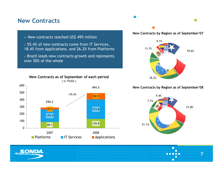#### New Contracts

 $\checkmark$  New contracts reached US\$ 495 million

 $\sim$  55.4% of new contracts come from IT Services, 18.4% from Applications, and 26.2% from Platforms

 $\checkmark$  Brazil leads new contracts growth and represents over 50% of the whole



#### New Contracts by Region as of September'07

 $\overline{\phantom{a}}$ 



#### New Contracts by Region as of September'08





П 7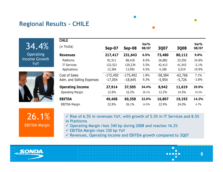#### Regional Results - CHILE

34.4%

 Operating Income Growth YoY



26.1%EBITDA Margin

**CHILE**(in ThUS\$)(ID THUS\$)<br>Revenues  $\frac{\text{Sep-07}}{217,417}$  231,643 Var% 08/07 3Q07 3Q08 Var% 08/07Revenues 217,417 231,643 6.5%<br>- مرد 211 231,643 **6.5% 73,480 80,112 9.0%**<br>8.5% 26,882 33,550 24.8% Platforms 81,511 88,418 8.5% 26,882 33,550 24.8% IT Services 122,521 129,234 5.5% 42,413 41,543 -2.1% Applications 13,384 13,992 4.5% % 4,186 5,019 19.9% Cost of Sales -172,450 -175,492 1.8% -58,584 -62,766 7.1% Adm. and Selling Expenses -17,054 -18,645 9.3% -5,954 -5,726 -3.8% **Operating Income 27,914 37,505 34.4%**<br>
Operating Margin 12.8% 16.2% 26.1% **8,942 11,619 29.9%**<br>12.2% 14.5% 19.2% Operating Margin % 16.2% 26.1% 12.2% 14.5% EBITDA 49,468 60,358 22.0% 16,807 19,193 14.2% EBITDA Margin 22.8% 26.1% 14.5% 22.9% 24.0% 4.7%

 $\mathbf{r}$ 

 $\checkmark$  Rise of 6.5% in revenues YoY, with growth of 5.5% in IT Services and 8.5% in Platforms. in Platforms

8

П

Г

 $\mathcal{L}^{\mathcal{A}}$ 

- $\checkmark$  Operating Margin rises 340 bp during 2008 and reaches 16.2%
- EBITDA Margin rises 330 bp YoY
- $\checkmark$  Revenues, Operating Income and EBITDA growth compared to 3Q07

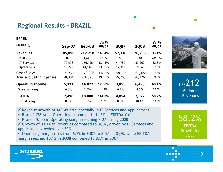### Regional Results - BRAZIL

| <b>BRAZIL</b>             |               |            |               |             |             |               |
|---------------------------|---------------|------------|---------------|-------------|-------------|---------------|
| (in ThUS\$)               | <b>Sep-07</b> | Sep-08     | Var%<br>08/07 | <b>3Q07</b> | <b>3Q08</b> | Var%<br>08/07 |
| <b>Revenues</b>           | 85,096        | 212,218    | 149.4%        | 57,318      | 76,288      | 33.1%         |
| Platforms                 | 878           | 1,646      | 87.5%         | 226         | 681         | 201.3%        |
| <b>IT Services</b>        | 70,996        | 166,426    | 134.4%        | 44,780      | 59,262      | 32.3%         |
| Applications              | 13,222        | 44,146     | 233.9%        | 12,312      | 16,345      | 32.8%         |
| Cost of Sales             | $-71,474$     | $-173,026$ | 142.1%        | $-48,195$   | $-61,422$   | 27.4%         |
| Adm. and Selling Expenses | $-8,301$      | $-24,370$  | 193.6%        | $-5,268$    | $-8,376$    | 59.0%         |
| <b>Operating Income</b>   | 5,321         | 14,822     | 178.6%        | 3,855       | 6,490       | 68.4%         |
| <b>Operating Margin</b>   | 6.3%          | 7.0%       | 11.7%         | 6.7%        | 8.5%        | 26.5%         |
| <b>EBITDA</b>             | 7,496         | 18,088     | 141.3%        | 4,854       | 7,677       | 58.2%         |
| <b>EBITDA Margin</b>      | 8.8%          | 8.5%       | $-3.2%$       | 8.5%        | 10.1%       | 18.8%         |



**US\$212**  Million in Revenues

 $\checkmark$  Revenue growth of 149.4% YoY, specially in IT Services and Applications

 $\checkmark$  Rise of 178.6% in Operating Income and 141.3% in EBITDA YoY

 $\checkmark$  Rise of 70 bp in Operating Margin reaching 7.0% during 2008

 $\checkmark$  Growth of 33.1% in Revenues compared to 3Q07, driven by IT Services and Analizations arousing even 20% Applications growing over 30%

 $\checkmark$  Operating margin rises from 6.7% in 3Q07 to 8.5% in 3Q08, while EBITDA margin reached 10.1% in 3008 compared to 8.5% in 3007 margin reached 10.1% in 3Q08 compared to 8.5% in 3Q07



П

9

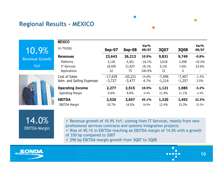#### Regional Results - MEXICO

10.9% Revenue GrowthYoY



| <b>Sep-07</b> | Sep-08    | 08/07    | 3Q07     | <b>3Q08</b> | Var%<br>08/07 |
|---------------|-----------|----------|----------|-------------|---------------|
| 23,643        | 26,213    | 10.9%    | 9,831    | 9,749       | $-0.8%$       |
| 5,126         | 4,301     | $-16.1%$ | 3,618    | 2,098       | $-42.0%$      |
| 18,495        | 21,837    | 18.1%    | 6,191    | 7,651       | 23.6%         |
| 22            | 75        | 240.9%   | 22       | 0           |               |
| $-17,639$     | $-20,221$ | 14.6%    | $-7,496$ | $-7,407$    | $-1.2%$       |
| $-3,727$      | $-3,477$  | $-6.7%$  | $-1,214$ | $-1,257$    | 3.5%          |
| 2,277         | 2,515     | 10.5%    | 1,121    | 1,085       | $-3.2%$       |
| 9.6%          | 9.6%      | $-0.4%$  | 11.4%    | 11.1%       | $-2.4%$       |
| 2,520         | 3,657     | 45.1%    | 1,220    | 1,492       | 22.3%         |
| 10.7%         | 14.0%     | 30.9%    | 12.4%    | 15.3%       | 23.3%         |
|               |           |          | Var%     |             |               |

 $\mathcal{L}_{\mathcal{A}}$ 

14.0%EBITDA Margin

 $\checkmark$  Revenue growth of 10.9% YoY, coming from IT Services, mainly from new professional services contracts and systems integration projects $\checkmark$  Rise of 45.1% in EBITDA reaching an EBITDA margin of 14.0% with a growth  $\hat{\sigma}$  320 be compared to 2007 of 330 bp compared to 2007

10

П

 $\mathcal{L}_{\mathcal{A}}$ 

 $\checkmark$  290 bp EBITDA margin growth from 3Q07 to 3Q08

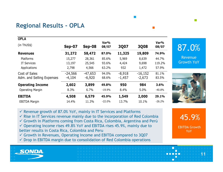### Regional Results - OPLA

| <b>OPLA</b>               |               |           |               |          |             |               |
|---------------------------|---------------|-----------|---------------|----------|-------------|---------------|
| (in ThUS\$)               | <b>Sep-07</b> | Sep-08    | Var%<br>08/07 | 3Q07     | <b>3Q08</b> | Var%<br>08/07 |
| <b>Revenues</b>           | 31,272        | 58,472    | 87.0%         | 11,325   | 19,809      | 74.9%         |
| Platforms                 | 15,277        | 28,361    | 85.6%         | 5,969    | 8,639       | 44.7%         |
| <b>IT Services</b>        | 13,197        | 25,545    | 93.6%         | 4,424    | 9,698       | 119.2%        |
| Applications              | 2,798         | 4,566     | 63.2%         | 932      | 1,472       | 57.9%         |
| Cost of Sales             | $-24,566$     | $-47,653$ | 94.0%         | $-8,918$ | $-16,152$   | 81.1%         |
| Adm. and Selling Expenses | $-4,104$      | $-6,920$  | 68.6%         | $-1,457$ | $-2,673$    | 83.5%         |
| <b>Operating Income</b>   | 2,602         | 3,899     | 49.8%         | 950      | 984         | 3.6%          |
| <b>Operating Margin</b>   | 8.3%          | 6.7%      | $-19.9%$      | 8.4%     | 5.0%        | $-40.8%$      |
| <b>EBITDA</b>             | 4,508         | 6,579     | 45.9%         | 1,549    | 2,000       | 29.1%         |
| <b>EBITDA Margin</b>      | 14.4%         | 11.3%     | $-22.0%$      | 13.7%    | 10.1%       | $-26.2%$      |

87.0%

 $\mathcal{L}^{\text{max}}$ 

 Revenue Growth YoY



 $\checkmark$  Revenue growth of 87.0% YoY, mainly in IT Services and Platforms

 $\checkmark$  Rise in IT Services revenue mainly due to the incorporation of Red Colombia

Growth in Platforms coming from Costa Rica, Colombia, Argentina and Perú<br>Geografia Income rices 40.9% YoV and FPITDA rices 45.0% mainly due to

 $\checkmark$  Operating Income rises 49.8% YoY and EBITDA rises 45.9%, mainly due to better results in Cesta Bise, Colombia and Beru better results in Costa Rica, Colombia and Peru

Growth in Revenues, Operating Income and EBITDA compared to 3Q07

 $\checkmark$  Drop in EBITDA margin due to consolidation of Red Colombia operations

45.9%

EBITDA Growth YoY



11

П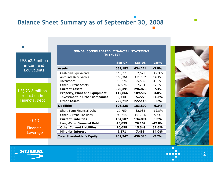## Balance Sheet Summary as of September 30, 2008

US\$ 62.6 millonin Cash and Equivalents

 $\sim$ 

US\$ 23.8 million reduction in Financial Debt

> 0.13Financial Leverage

|                                      | <b>Sep-07</b> | <b>Sep-08</b> | Var%     |
|--------------------------------------|---------------|---------------|----------|
| Assets                               | 659,182       | 634,224       | $-3.8%$  |
| Cash and Equivalents                 | 118,778       | 62,571        | $-47.3%$ |
| <b>Accounts Receivables</b>          | 150,361       | 171,532       | 14.1%    |
| Inventories                          | 18,276        | 25,566        | 39.9%    |
| <b>Other Current Assets</b>          | 32,976        | 37,204        | 12.8%    |
| <b>Current Assets</b>                | 320,391       | 296,873       | $-7.3%$  |
| <b>Property, Plant and Equipment</b> | 112,866       | 109,507       | $-3.0%$  |
| <b>Investment in Other Companies</b> | 3,713         | 5,727         | 54.3%    |
| <b>Other Assets</b>                  | 222,212       | 222,116       | 0.0%     |
| <b>Liabilities</b>                   | 196,235       | 183,899       | $-6.3%$  |
| Short-Term Financial Debt            | 37,759        | 32,938        | $-12.8%$ |
| <b>Other Current Liabilities</b>     | 96,748        | 101,956       | 5.4%     |
| <b>Current Liabilities</b>           | 134,507       | 134,894       | 0.3%     |
| <b>Long-Term Financial Debt</b>      | 45,099        | 26,167        | $-42.0%$ |
| <b>Other Current Liabilities</b>     | 10,058        | 15,349        | 52.6%    |
| <b>Minority Interest</b>             | 6,571         | 7,488         | 14.0%    |
| <b>Total Shareholder's Equity</b>    | 462,947       | 450,325       | $-2.7%$  |

SONDA CONSOLIDATED FINANCIAL STATEMENT(in ThUS\$)



 $\mathcal{L}^{\mathcal{A}}$ 

12